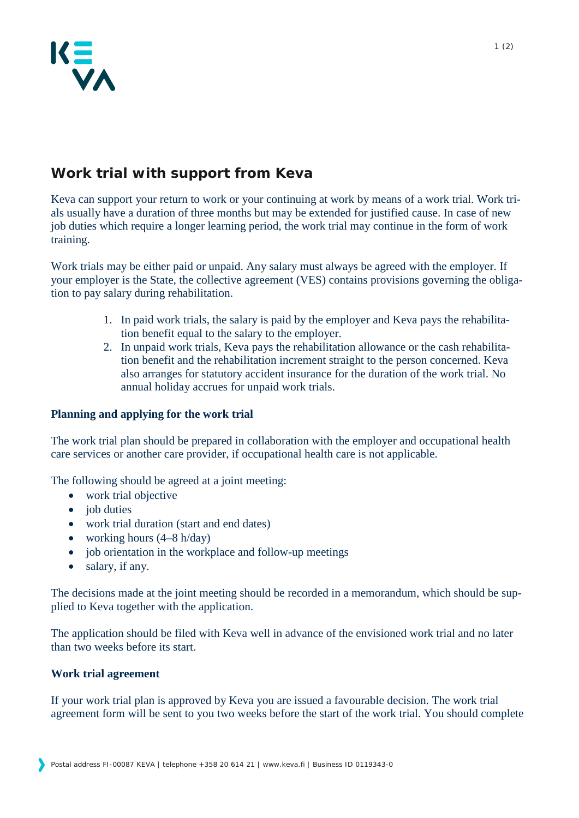

# **Work trial with support from Keva**

Keva can support your return to work or your continuing at work by means of a work trial. Work trials usually have a duration of three months but may be extended for justified cause. In case of new job duties which require a longer learning period, the work trial may continue in the form of work training.

Work trials may be either paid or unpaid. Any salary must always be agreed with the employer. If your employer is the State, the collective agreement (VES) contains provisions governing the obligation to pay salary during rehabilitation.

- 1. In paid work trials, the salary is paid by the employer and Keva pays the rehabilitation benefit equal to the salary to the employer.
- 2. In unpaid work trials, Keva pays the rehabilitation allowance or the cash rehabilitation benefit and the rehabilitation increment straight to the person concerned. Keva also arranges for statutory accident insurance for the duration of the work trial. No annual holiday accrues for unpaid work trials.

# **Planning and applying for the work trial**

The work trial plan should be prepared in collaboration with the employer and occupational health care services or another care provider, if occupational health care is not applicable.

The following should be agreed at a joint meeting:

- work trial objective
- job duties
- work trial duration (start and end dates)
- working hours  $(4–8 \text{ h/day})$
- job orientation in the workplace and follow-up meetings
- salary, if any.

The decisions made at the joint meeting should be recorded in a memorandum, which should be supplied to Keva together with the application.

The application should be filed with Keva well in advance of the envisioned work trial and no later than two weeks before its start.

## **Work trial agreement**

If your work trial plan is approved by Keva you are issued a favourable decision. The work trial agreement form will be sent to you two weeks before the start of the work trial. You should complete